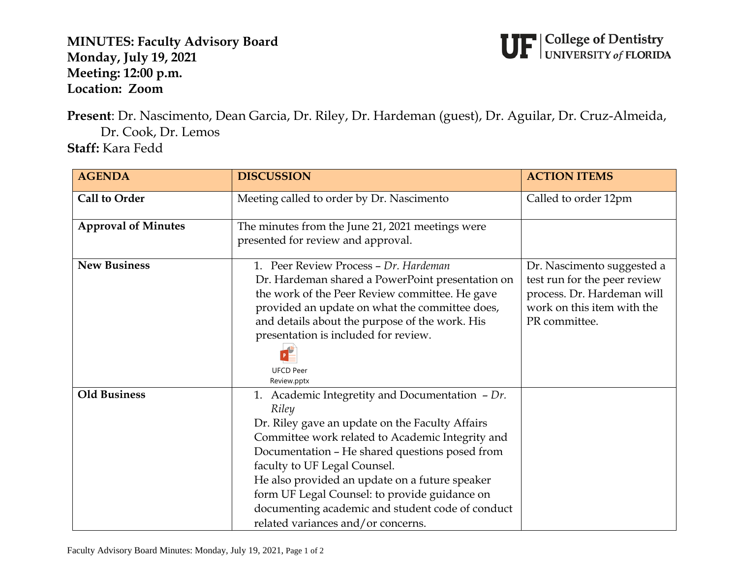**MINUTES: Faculty Advisory Board Monday, July 19, 2021 Meeting: 12:00 p.m. Location: Zoom**



**Present**: Dr. Nascimento, Dean Garcia, Dr. Riley, Dr. Hardeman (guest), Dr. Aguilar, Dr. Cruz-Almeida, Dr. Cook, Dr. Lemos **Staff:** Kara Fedd

| <b>AGENDA</b>              | <b>DISCUSSION</b>                                                                                                                                                                                                                                                                                                                                                                                                                                | <b>ACTION ITEMS</b>                                                                                                                     |
|----------------------------|--------------------------------------------------------------------------------------------------------------------------------------------------------------------------------------------------------------------------------------------------------------------------------------------------------------------------------------------------------------------------------------------------------------------------------------------------|-----------------------------------------------------------------------------------------------------------------------------------------|
| <b>Call to Order</b>       | Meeting called to order by Dr. Nascimento                                                                                                                                                                                                                                                                                                                                                                                                        | Called to order 12pm                                                                                                                    |
| <b>Approval of Minutes</b> | The minutes from the June 21, 2021 meetings were<br>presented for review and approval.                                                                                                                                                                                                                                                                                                                                                           |                                                                                                                                         |
| <b>New Business</b>        | 1. Peer Review Process - Dr. Hardeman<br>Dr. Hardeman shared a PowerPoint presentation on<br>the work of the Peer Review committee. He gave<br>provided an update on what the committee does,<br>and details about the purpose of the work. His<br>presentation is included for review.<br><b>UFCD Peer</b><br>Review.pptx                                                                                                                       | Dr. Nascimento suggested a<br>test run for the peer review<br>process. Dr. Hardeman will<br>work on this item with the<br>PR committee. |
| <b>Old Business</b>        | 1. Academic Integretity and Documentation $-Dr$ .<br>Riley<br>Dr. Riley gave an update on the Faculty Affairs<br>Committee work related to Academic Integrity and<br>Documentation - He shared questions posed from<br>faculty to UF Legal Counsel.<br>He also provided an update on a future speaker<br>form UF Legal Counsel: to provide guidance on<br>documenting academic and student code of conduct<br>related variances and/or concerns. |                                                                                                                                         |